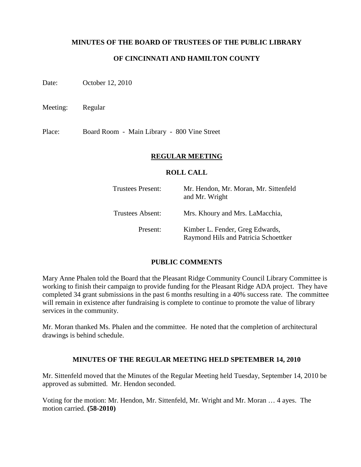### **MINUTES OF THE BOARD OF TRUSTEES OF THE PUBLIC LIBRARY**

## **OF CINCINNATI AND HAMILTON COUNTY**

Date: October 12, 2010

Meeting: Regular

Place: Board Room - Main Library - 800 Vine Street

#### **REGULAR MEETING**

#### **ROLL CALL**

| Trustees Present:       | Mr. Hendon, Mr. Moran, Mr. Sittenfeld<br>and Mr. Wright                 |
|-------------------------|-------------------------------------------------------------------------|
| <b>Trustees Absent:</b> | Mrs. Khoury and Mrs. LaMacchia,                                         |
| Present:                | Kimber L. Fender, Greg Edwards,<br>Raymond Hils and Patricia Schoettker |

#### **PUBLIC COMMENTS**

Mary Anne Phalen told the Board that the Pleasant Ridge Community Council Library Committee is working to finish their campaign to provide funding for the Pleasant Ridge ADA project. They have completed 34 grant submissions in the past 6 months resulting in a 40% success rate. The committee will remain in existence after fundraising is complete to continue to promote the value of library services in the community.

Mr. Moran thanked Ms. Phalen and the committee. He noted that the completion of architectural drawings is behind schedule.

#### **MINUTES OF THE REGULAR MEETING HELD SPETEMBER 14, 2010**

Mr. Sittenfeld moved that the Minutes of the Regular Meeting held Tuesday, September 14, 2010 be approved as submitted. Mr. Hendon seconded.

Voting for the motion: Mr. Hendon, Mr. Sittenfeld, Mr. Wright and Mr. Moran … 4 ayes. The motion carried. **(58-2010)**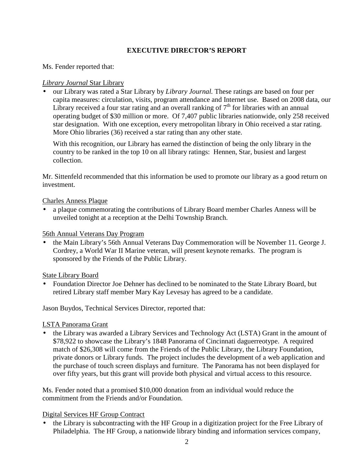## **EXECUTIVE DIRECTOR'S REPORT**

Ms. Fender reported that:

### *Library Journal* Star Library

• our Library was rated a Star Library by *Library Journal.* These ratings are based on four per capita measures: circulation, visits, program attendance and Internet use. Based on 2008 data, our Library received a four star rating and an overall ranking of  $7<sup>th</sup>$  for libraries with an annual operating budget of \$30 million or more. Of 7,407 public libraries nationwide, only 258 received star designation. With one exception, every metropolitan library in Ohio received a star rating. More Ohio libraries (36) received a star rating than any other state.

With this recognition, our Library has earned the distinction of being the only library in the country to be ranked in the top 10 on all library ratings: Hennen, Star, busiest and largest collection.

Mr. Sittenfeld recommended that this information be used to promote our library as a good return on investment.

### Charles Anness Plaque

• a plaque commemorating the contributions of Library Board member Charles Anness will be unveiled tonight at a reception at the Delhi Township Branch.

## 56th Annual Veterans Day Program

• the Main Library's 56th Annual Veterans Day Commemoration will be November 11. George J. Cordrey, a World War II Marine veteran, will present keynote remarks. The program is sponsored by the Friends of the Public Library.

## State Library Board

• Foundation Director Joe Dehner has declined to be nominated to the State Library Board, but retired Library staff member Mary Kay Levesay has agreed to be a candidate.

Jason Buydos, Technical Services Director, reported that:

## LSTA Panorama Grant

• the Library was awarded a Library Services and Technology Act (LSTA) Grant in the amount of \$78,922 to showcase the Library's 1848 Panorama of Cincinnati daguerreotype. A required match of \$26,308 will come from the Friends of the Public Library, the Library Foundation, private donors or Library funds. The project includes the development of a web application and the purchase of touch screen displays and furniture. The Panorama has not been displayed for over fifty years, but this grant will provide both physical and virtual access to this resource.

Ms. Fender noted that a promised \$10,000 donation from an individual would reduce the commitment from the Friends and/or Foundation.

## Digital Services HF Group Contract

• the Library is subcontracting with the HF Group in a digitization project for the Free Library of Philadelphia. The HF Group, a nationwide library binding and information services company,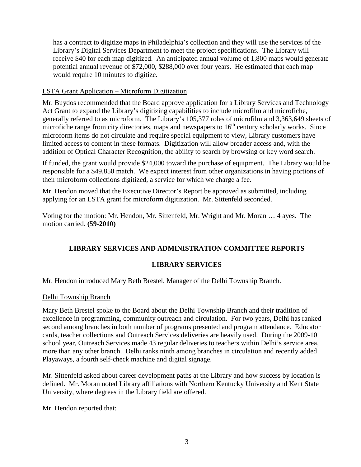has a contract to digitize maps in Philadelphia's collection and they will use the services of the Library's Digital Services Department to meet the project specifications. The Library will receive \$40 for each map digitized. An anticipated annual volume of 1,800 maps would generate potential annual revenue of \$72,000, \$288,000 over four years. He estimated that each map would require 10 minutes to digitize.

## LSTA Grant Application – Microform Digitization

Mr. Buydos recommended that the Board approve application for a Library Services and Technology Act Grant to expand the Library's digitizing capabilities to include microfilm and microfiche, generally referred to as microform. The Library's 105,377 roles of microfilm and 3,363,649 sheets of microfiche range from city directories, maps and newspapers to  $16<sup>th</sup>$  century scholarly works. Since microform items do not circulate and require special equipment to view, Library customers have limited access to content in these formats. Digitization will allow broader access and, with the addition of Optical Character Recognition, the ability to search by browsing or key word search.

If funded, the grant would provide \$24,000 toward the purchase of equipment. The Library would be responsible for a \$49,850 match. We expect interest from other organizations in having portions of their microform collections digitized, a service for which we charge a fee.

Mr. Hendon moved that the Executive Director's Report be approved as submitted, including applying for an LSTA grant for microform digitization. Mr. Sittenfeld seconded.

Voting for the motion: Mr. Hendon, Mr. Sittenfeld, Mr. Wright and Mr. Moran … 4 ayes. The motion carried. **(59-2010)** 

# **LIBRARY SERVICES AND ADMINISTRATION COMMITTEE REPORTS**

## **LIBRARY SERVICES**

Mr. Hendon introduced Mary Beth Brestel, Manager of the Delhi Township Branch.

#### Delhi Township Branch

Mary Beth Brestel spoke to the Board about the Delhi Township Branch and their tradition of excellence in programming, community outreach and circulation. For two years, Delhi has ranked second among branches in both number of programs presented and program attendance. Educator cards, teacher collections and Outreach Services deliveries are heavily used. During the 2009-10 school year, Outreach Services made 43 regular deliveries to teachers within Delhi's service area, more than any other branch. Delhi ranks ninth among branches in circulation and recently added Playaways, a fourth self-check machine and digital signage.

Mr. Sittenfeld asked about career development paths at the Library and how success by location is defined. Mr. Moran noted Library affiliations with Northern Kentucky University and Kent State University, where degrees in the Library field are offered.

Mr. Hendon reported that: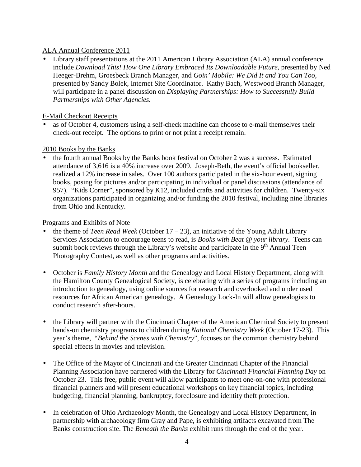## ALA Annual Conference 2011

• Library staff presentations at the 2011 American Library Association (ALA) annual conference include *Download This! How One Library Embraced Its Downloadable Future*, presented by Ned Heeger-Brehm, Groesbeck Branch Manager, and *Goin' Mobile: We Did It and You Can Too*, presented by Sandy Bolek, Internet Site Coordinator. Kathy Bach, Westwood Branch Manager, will participate in a panel discussion on *Displaying Partnerships: How to Successfully Build Partnerships with Other Agencies.*

## E-Mail Checkout Receipts

as of October 4, customers using a self-check machine can choose to e-mail themselves their check-out receipt. The options to print or not print a receipt remain.

## 2010 Books by the Banks

• the fourth annual Books by the Banks book festival on October 2 was a success. Estimated attendance of 3,616 is a 40% increase over 2009. Joseph-Beth, the event's official bookseller, realized a 12% increase in sales. Over 100 authors participated in the six-hour event, signing books, posing for pictures and/or participating in individual or panel discussions (attendance of 957). "Kids Corner", sponsored by K12, included crafts and activities for children. Twenty-six organizations participated in organizing and/or funding the 2010 festival, including nine libraries from Ohio and Kentucky.

## Programs and Exhibits of Note

- the theme of *Teen Read Week* (October 17 23)*,* an initiative of the Young Adult Library Services Association to encourage teens to read, is *Books with Beat @ your library.* Teens can submit book reviews through the Library's website and participate in the  $9<sup>th</sup>$  Annual Teen Photography Contest, as well as other programs and activities.
- October is *Family History Month* and the Genealogy and Local History Department, along with the Hamilton County Genealogical Society, is celebrating with a series of programs including an introduction to genealogy, using online sources for research and overlooked and under used resources for African American genealogy. A Genealogy Lock-In will allow genealogists to conduct research after-hours.
- the Library will partner with the Cincinnati Chapter of the American Chemical Society to present hands-on chemistry programs to children during *National Chemistry Week* (October 17-23). This year's theme, "*Behind the Scenes with Chemistry*", focuses on the common chemistry behind special effects in movies and television.
- The Office of the Mayor of Cincinnati and the Greater Cincinnati Chapter of the Financial Planning Association have partnered with the Library for *Cincinnati Financial Planning Day* on October 23. This free, public event will allow participants to meet one-on-one with professional financial planners and will present educational workshops on key financial topics, including budgeting, financial planning, bankruptcy, foreclosure and identity theft protection.
- In celebration of Ohio Archaeology Month, the Genealogy and Local History Department, in partnership with archaeology firm Gray and Pape, is exhibiting artifacts excavated from The Banks construction site. The *Beneath the Banks* exhibit runs through the end of the year.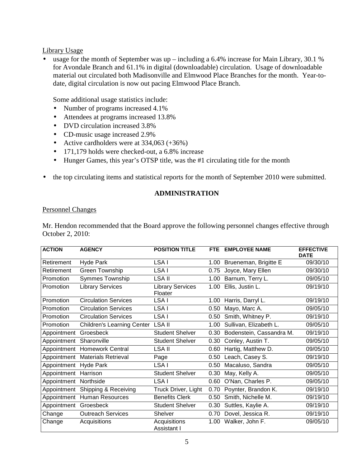Library Usage

• usage for the month of September was up – including a 6.4% increase for Main Library, 30.1 % for Avondale Branch and 61.1% in digital (downloadable) circulation. Usage of downloadable material out circulated both Madisonville and Elmwood Place Branches for the month. Year-todate, digital circulation is now out pacing Elmwood Place Branch.

Some additional usage statistics include:

- Number of programs increased 4.1%
- Attendees at programs increased 13.8%
- DVD circulation increased 3.8%
- CD-music usage increased 2.9%
- Active cardholders were at  $334,063 (+36%)$
- 171,179 holds were checked-out, a 6.8% increase
- Hunger Games, this year's OTSP title, was the #1 circulating title for the month
- the top circulating items and statistical reports for the month of September 2010 were submitted.

## **ADMINISTRATION**

## Personnel Changes

Mr. Hendon recommended that the Board approve the following personnel changes effective through October 2, 2010:

| <b>ACTION</b>         | <b>AGENCY</b>                     | <b>POSITION TITLE</b>              |      | FTE EMPLOYEE NAME        | <b>EFFECTIVE</b><br><b>DATE</b> |
|-----------------------|-----------------------------------|------------------------------------|------|--------------------------|---------------------------------|
| Retirement            | Hyde Park                         | LSA I                              | 1.00 | Brueneman, Brigitte E    | 09/30/10                        |
| Retirement            | Green Township                    | LSA I                              | 0.75 | Joyce, Mary Ellen        | 09/30/10                        |
| Promotion             | Symmes Township                   | LSA II                             | 1.00 | Barnum, Terry L.         | 09/05/10                        |
| Promotion             | <b>Library Services</b>           | <b>Library Services</b><br>Floater | 1.00 | Ellis, Justin L.         | 09/19/10                        |
| Promotion             | <b>Circulation Services</b>       | LSA I                              | 1.00 | Harris, Darryl L.        | 09/19/10                        |
| Promotion             | <b>Circulation Services</b>       | LSA I                              | 0.50 | Mayo, Marc A.            | 09/05/10                        |
| Promotion             | <b>Circulation Services</b>       | LSA I                              | 0.50 | Smith, Whitney P.        | 09/19/10                        |
| Promotion             | <b>Children's Learning Center</b> | <b>LSA II</b>                      | 1.00 | Sullivan, Elizabeth L.   | 09/05/10                        |
| Appointment           | Groesbeck                         | <b>Student Shelver</b>             | 0.30 | Bodenstein, Cassandra M. | 09/19/10                        |
| Appointment           | Sharonville                       | <b>Student Shelver</b>             | 0.30 | Conley, Austin T.        | 09/05/10                        |
|                       | Appointment Homework Central      | LSA II                             | 0.60 | Hartig, Matthew D.       | 09/05/10                        |
| Appointment           | <b>Materials Retrieval</b>        | Page                               | 0.50 | Leach, Casey S.          | 09/19/10                        |
| Appointment Hyde Park |                                   | LSA I                              | 0.50 | Macaluso, Sandra         | 09/05/10                        |
| Appointment           | Harrison                          | <b>Student Shelver</b>             | 0.30 | May, Kelly A.            | 09/05/10                        |
| Appointment           | Northside                         | LSA I                              | 0.60 | O'Nan, Charles P.        | 09/05/10                        |
| Appointment           | Shipping & Receiving              | Truck Driver, Light                | 0.70 | Poynter, Brandon K.      | 09/19/10                        |
| Appointment           | Human Resources                   | <b>Benefits Clerk</b>              | 0.50 | Smith, Nichelle M.       | 09/19/10                        |
| Appointment           | Groesbeck                         | <b>Student Shelver</b>             | 0.30 | Suttles, Kaylie A.       | 09/19/10                        |
| Change                | <b>Outreach Services</b>          | <b>Shelver</b>                     | 0.70 | Dovel, Jessica R.        | 09/19/10                        |
| Change                | Acquisitions                      | Acquisitions<br>Assistant I        | 1.00 | Walker, John F.          | 09/05/10                        |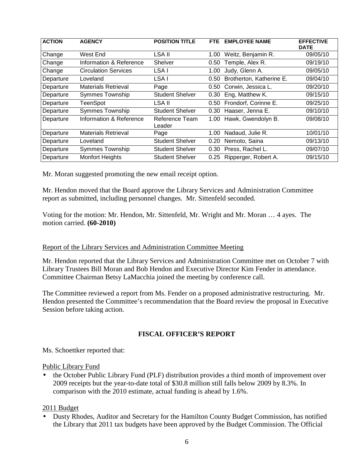| <b>ACTION</b> | <b>AGENCY</b>               | <b>POSITION TITLE</b>    | FTE. | <b>EMPLOYEE NAME</b>     | <b>EFFECTIVE</b><br><b>DATE</b> |
|---------------|-----------------------------|--------------------------|------|--------------------------|---------------------------------|
| Change        | West End                    | LSA II                   | 1.00 | Weitz, Benjamin R.       | 09/05/10                        |
| Change        | Information & Reference     | Shelver                  | 0.50 | Temple, Alex R.          | 09/19/10                        |
| Change        | <b>Circulation Services</b> | LSA I                    | 1.00 | Judy, Glenn A.           | 09/05/10                        |
| Departure     | Loveland                    | LSA I                    | 0.50 | Brotherton, Katherine E. | 09/04/10                        |
| Departure     | <b>Materials Retrieval</b>  | Page                     | 0.50 | Corwin, Jessica L.       | 09/20/10                        |
| Departure     | <b>Symmes Township</b>      | <b>Student Shelver</b>   | 0.30 | Eng, Matthew K.          | 09/15/10                        |
| Departure     | TeenSpot                    | LSA II                   | 0.50 | Frondorf, Corinne E.     | 09/25/10                        |
| Departure     | Symmes Township             | <b>Student Shelver</b>   | 0.30 | Haaser, Jenna E.         | 09/10/10                        |
| Departure     | Information & Reference     | Reference Team<br>Leader | 1.00 | Hawk, Gwendolyn B.       | 09/08/10                        |
| Departure     | <b>Materials Retrieval</b>  | Page                     | 1.00 | Nadaud, Julie R.         | 10/01/10                        |
| Departure     | Loveland                    | <b>Student Shelver</b>   | 0.20 | Nemoto, Saina            | 09/13/10                        |
| Departure     | <b>Symmes Township</b>      | <b>Student Shelver</b>   | 0.30 | Press, Rachel L.         | 09/07/10                        |
| Departure     | <b>Monfort Heights</b>      | <b>Student Shelver</b>   | 0.25 | Ripperger, Robert A.     | 09/15/10                        |

Mr. Moran suggested promoting the new email receipt option.

Mr. Hendon moved that the Board approve the Library Services and Administration Committee report as submitted, including personnel changes. Mr. Sittenfeld seconded.

Voting for the motion: Mr. Hendon, Mr. Sittenfeld, Mr. Wright and Mr. Moran … 4 ayes. The motion carried. **(60-2010)** 

#### Report of the Library Services and Administration Committee Meeting

Mr. Hendon reported that the Library Services and Administration Committee met on October 7 with Library Trustees Bill Moran and Bob Hendon and Executive Director Kim Fender in attendance. Committee Chairman Betsy LaMacchia joined the meeting by conference call.

The Committee reviewed a report from Ms. Fender on a proposed administrative restructuring. Mr. Hendon presented the Committee's recommendation that the Board review the proposal in Executive Session before taking action.

## **FISCAL OFFICER'S REPORT**

Ms. Schoettker reported that:

#### Public Library Fund

• the October Public Library Fund (PLF) distribution provides a third month of improvement over 2009 receipts but the year-to-date total of \$30.8 million still falls below 2009 by 8.3%. In comparison with the 2010 estimate, actual funding is ahead by 1.6%.

#### 2011 Budget

• Dusty Rhodes, Auditor and Secretary for the Hamilton County Budget Commission, has notified the Library that 2011 tax budgets have been approved by the Budget Commission. The Official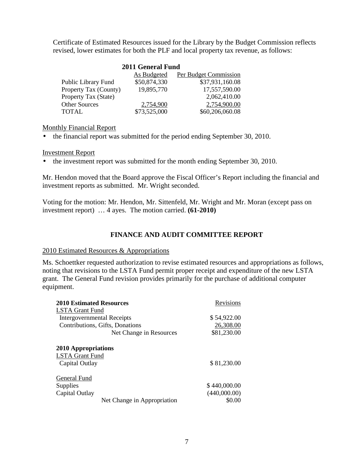Certificate of Estimated Resources issued for the Library by the Budget Commission reflects revised, lower estimates for both the PLF and local property tax revenue, as follows:

| 2011 General Fund     |                    |                              |  |
|-----------------------|--------------------|------------------------------|--|
|                       | <b>As Budgeted</b> | <b>Per Budget Commission</b> |  |
| Public Library Fund   | \$50,874,330       | \$37,931,160.08              |  |
| Property Tax (County) | 19,895,770         | 17,557,590.00                |  |
| Property Tax (State)  |                    | 2,062,410.00                 |  |
| <b>Other Sources</b>  | 2,754,900          | 2,754,900.00                 |  |
| TOTAL                 | \$73,525,000       | \$60,206,060.08              |  |

### Monthly Financial Report

• the financial report was submitted for the period ending September 30, 2010.

#### Investment Report

• the investment report was submitted for the month ending September 30, 2010.

Mr. Hendon moved that the Board approve the Fiscal Officer's Report including the financial and investment reports as submitted. Mr. Wright seconded.

Voting for the motion: Mr. Hendon, Mr. Sittenfeld, Mr. Wright and Mr. Moran (except pass on investment report) … 4 ayes. The motion carried. **(61-2010)**

## **FINANCE AND AUDIT COMMITTEE REPORT**

#### 2010 Estimated Resources & Appropriations

Ms. Schoettker requested authorization to revise estimated resources and appropriations as follows, noting that revisions to the LSTA Fund permit proper receipt and expenditure of the new LSTA grant. The General Fund revision provides primarily for the purchase of additional computer equipment.

| <b>2010 Estimated Resources</b> | Revisions    |
|---------------------------------|--------------|
| <b>LSTA Grant Fund</b>          |              |
| Intergovernmental Receipts      | \$54,922.00  |
| Contributions, Gifts, Donations | 26,308.00    |
| Net Change in Resources         | \$81,230.00  |
| 2010 Appropriations             |              |
| <b>LSTA Grant Fund</b>          |              |
| Capital Outlay                  | \$81,230.00  |
| General Fund                    |              |
| <b>Supplies</b>                 | \$440,000.00 |
| Capital Outlay                  | (440,000.00) |
| Net Change in Appropriation     | \$0.00       |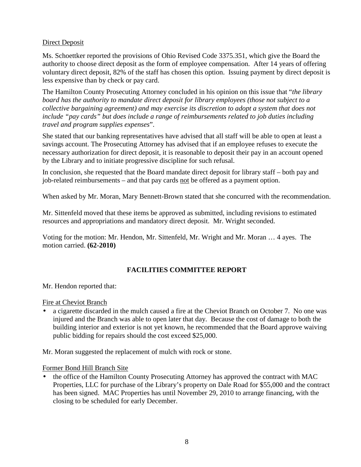## Direct Deposit

Ms. Schoettker reported the provisions of Ohio Revised Code 3375.351, which give the Board the authority to choose direct deposit as the form of employee compensation. After 14 years of offering voluntary direct deposit, 82% of the staff has chosen this option. Issuing payment by direct deposit is less expensive than by check or pay card.

The Hamilton County Prosecuting Attorney concluded in his opinion on this issue that "*the library board has the authority to mandate direct deposit for library employees (those not subject to a collective bargaining agreement) and may exercise its discretion to adopt a system that does not include "pay cards" but does include a range of reimbursements related to job duties including travel and program supplies expenses*".

She stated that our banking representatives have advised that all staff will be able to open at least a savings account. The Prosecuting Attorney has advised that if an employee refuses to execute the necessary authorization for direct deposit, it is reasonable to deposit their pay in an account opened by the Library and to initiate progressive discipline for such refusal.

In conclusion, she requested that the Board mandate direct deposit for library staff – both pay and job-related reimbursements – and that pay cards not be offered as a payment option.

When asked by Mr. Moran, Mary Bennett-Brown stated that she concurred with the recommendation.

Mr. Sittenfeld moved that these items be approved as submitted, including revisions to estimated resources and appropriations and mandatory direct deposit. Mr. Wright seconded.

Voting for the motion: Mr. Hendon, Mr. Sittenfeld, Mr. Wright and Mr. Moran … 4 ayes. The motion carried. **(62-2010)**

## **FACILITIES COMMITTEE REPORT**

Mr. Hendon reported that:

Fire at Cheviot Branch

• a cigarette discarded in the mulch caused a fire at the Cheviot Branch on October 7. No one was injured and the Branch was able to open later that day. Because the cost of damage to both the building interior and exterior is not yet known, he recommended that the Board approve waiving public bidding for repairs should the cost exceed \$25,000.

Mr. Moran suggested the replacement of mulch with rock or stone.

Former Bond Hill Branch Site

• the office of the Hamilton County Prosecuting Attorney has approved the contract with MAC Properties, LLC for purchase of the Library's property on Dale Road for \$55,000 and the contract has been signed. MAC Properties has until November 29, 2010 to arrange financing, with the closing to be scheduled for early December.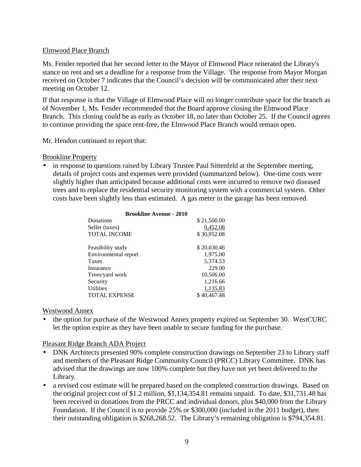## Elmwood Place Branch

Ms. Fender reported that her second letter to the Mayor of Elmwood Place reiterated the Library's stance on rent and set a deadline for a response from the Village. The response from Mayor Morgan received on October 7 indicates that the Council's decision will be communicated after their next meeting on October 12.

If that response is that the Village of Elmwood Place will no longer contribute space for the branch as of November 1, Ms. Fender recommended that the Board approve closing the Elmwood Place Branch. This closing could be as early as October 18, no later than October 25. If the Council agrees to continue providing the space rent-free, the Elmwood Place Branch would remain open.

Mr. Hendon continued to report that:

#### Brookline Property

• in response to questions raised by Library Trustee Paul Sittenfeld at the September meeting, details of project costs and expenses were provided (summarized below). One-time costs were slightly higher than anticipated because additional costs were incurred to remove two diseased trees and to replace the residential security monitoring system with a commercial system. Other costs have been slightly less than estimated. A gas meter in the garage has been removed.

| <b>Brookline Avenue - 2010</b> |             |  |  |
|--------------------------------|-------------|--|--|
| Donations                      | \$21,500.00 |  |  |
| Seller (taxes)                 | 9,452.08    |  |  |
| <b>TOTAL INCOME</b>            | \$30,952.08 |  |  |
| Feasibility study              | \$20,030.46 |  |  |
| Environmental report           | 1,975.00    |  |  |
| <b>Taxes</b>                   | 5,374.53    |  |  |
| Insurance                      | 229.00      |  |  |
| Trees/yard work                | 10,506.00   |  |  |
| Security                       | 1,216.66    |  |  |
| <b>Utilities</b>               | 1,135.83    |  |  |
| <b>TOTAL EXPENSE</b>           | \$40,467.48 |  |  |

#### Westwood Annex

• the option for purchase of the Westwood Annex property expired on September 30. WestCURC let the option expire as they have been unable to secure funding for the purchase.

## Pleasant Ridge Branch ADA Project

- DNK Architects presented 90% complete construction drawings on September 23 to Library staff and members of the Pleasant Ridge Community Council (PRCC) Library Committee. DNK has advised that the drawings are now 100% complete but they have not yet been delivered to the Library.
- a revised cost estimate will be prepared based on the completed construction drawings. Based on the original project cost of \$1.2 million, \$1,134,354.81 remains unpaid. To date, \$31,731.48 has been received in donations from the PRCC and individual donors, plus \$40,000 from the Library Foundation. If the Council is to provide 25% or \$300,000 (included in the 2011 budget), then their outstanding obligation is \$268,268.52. The Library's remaining obligation is \$794,354.81.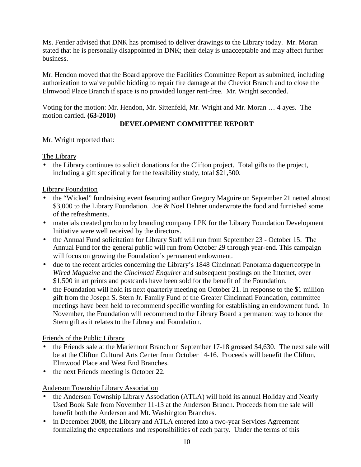Ms. Fender advised that DNK has promised to deliver drawings to the Library today. Mr. Moran stated that he is personally disappointed in DNK; their delay is unacceptable and may affect further business.

Mr. Hendon moved that the Board approve the Facilities Committee Report as submitted, including authorization to waive public bidding to repair fire damage at the Cheviot Branch and to close the Elmwood Place Branch if space is no provided longer rent-free. Mr. Wright seconded.

Voting for the motion: Mr. Hendon, Mr. Sittenfeld, Mr. Wright and Mr. Moran … 4 ayes. The motion carried. **(63-2010)**

# **DEVELOPMENT COMMITTEE REPORT**

Mr. Wright reported that:

The Library

• the Library continues to solicit donations for the Clifton project. Total gifts to the project, including a gift specifically for the feasibility study, total \$21,500.

## Library Foundation

- the "Wicked" fundraising event featuring author Gregory Maguire on September 21 netted almost \$3,000 to the Library Foundation. Joe & Noel Dehner underwrote the food and furnished some of the refreshments.
- materials created pro bono by branding company LPK for the Library Foundation Development Initiative were well received by the directors.
- the Annual Fund solicitation for Library Staff will run from September 23 October 15. The Annual Fund for the general public will run from October 29 through year-end. This campaign will focus on growing the Foundation's permanent endowment.
- due to the recent articles concerning the Library's 1848 Cincinnati Panorama daguerreotype in *Wired Magazine* and the *Cincinnati Enquirer* and subsequent postings on the Internet, over \$1,500 in art prints and postcards have been sold for the benefit of the Foundation.
- the Foundation will hold its next quarterly meeting on October 21. In response to the \$1 million gift from the Joseph S. Stern Jr. Family Fund of the Greater Cincinnati Foundation, committee meetings have been held to recommend specific wording for establishing an endowment fund. In November, the Foundation will recommend to the Library Board a permanent way to honor the Stern gift as it relates to the Library and Foundation.

# Friends of the Public Library

- the Friends sale at the Mariemont Branch on September 17-18 grossed \$4,630. The next sale will be at the Clifton Cultural Arts Center from October 14-16. Proceeds will benefit the Clifton, Elmwood Place and West End Branches.
- the next Friends meeting is October 22.

# Anderson Township Library Association

- the Anderson Township Library Association (ATLA) will hold its annual Holiday and Nearly Used Book Sale from November 11-13 at the Anderson Branch. Proceeds from the sale will benefit both the Anderson and Mt. Washington Branches.
- in December 2008, the Library and ATLA entered into a two-year Services Agreement formalizing the expectations and responsibilities of each party. Under the terms of this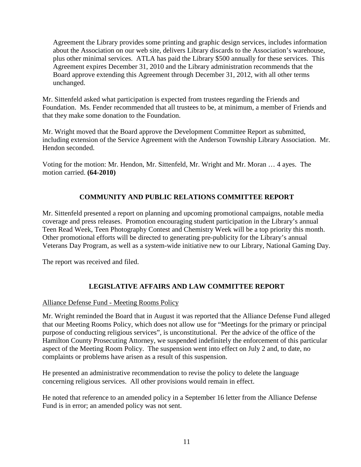Agreement the Library provides some printing and graphic design services, includes information about the Association on our web site, delivers Library discards to the Association's warehouse, plus other minimal services. ATLA has paid the Library \$500 annually for these services. This Agreement expires December 31, 2010 and the Library administration recommends that the Board approve extending this Agreement through December 31, 2012, with all other terms unchanged.

Mr. Sittenfeld asked what participation is expected from trustees regarding the Friends and Foundation. Ms. Fender recommended that all trustees to be, at minimum, a member of Friends and that they make some donation to the Foundation.

Mr. Wright moved that the Board approve the Development Committee Report as submitted, including extension of the Service Agreement with the Anderson Township Library Association. Mr. Hendon seconded.

Voting for the motion: Mr. Hendon, Mr. Sittenfeld, Mr. Wright and Mr. Moran … 4 ayes. The motion carried. **(64-2010)**

# **COMMUNITY AND PUBLIC RELATIONS COMMITTEE REPORT**

Mr. Sittenfeld presented a report on planning and upcoming promotional campaigns, notable media coverage and press releases. Promotion encouraging student participation in the Library's annual Teen Read Week, Teen Photography Contest and Chemistry Week will be a top priority this month. Other promotional efforts will be directed to generating pre-publicity for the Library's annual Veterans Day Program, as well as a system-wide initiative new to our Library, National Gaming Day.

The report was received and filed.

# **LEGISLATIVE AFFAIRS AND LAW COMMITTEE REPORT**

## Alliance Defense Fund - Meeting Rooms Policy

Mr. Wright reminded the Board that in August it was reported that the Alliance Defense Fund alleged that our Meeting Rooms Policy, which does not allow use for "Meetings for the primary or principal purpose of conducting religious services", is unconstitutional. Per the advice of the office of the Hamilton County Prosecuting Attorney, we suspended indefinitely the enforcement of this particular aspect of the Meeting Room Policy. The suspension went into effect on July 2 and, to date, no complaints or problems have arisen as a result of this suspension.

He presented an administrative recommendation to revise the policy to delete the language concerning religious services. All other provisions would remain in effect.

He noted that reference to an amended policy in a September 16 letter from the Alliance Defense Fund is in error; an amended policy was not sent.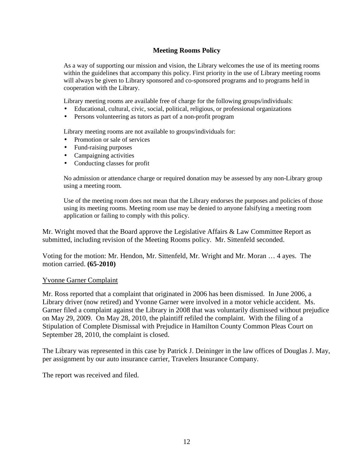## **Meeting Rooms Policy**

As a way of supporting our mission and vision, the Library welcomes the use of its meeting rooms within the guidelines that accompany this policy. First priority in the use of Library meeting rooms will always be given to Library sponsored and co-sponsored programs and to programs held in cooperation with the Library.

Library meeting rooms are available free of charge for the following groups/individuals:

- Educational, cultural, civic, social, political, religious, or professional organizations
- Persons volunteering as tutors as part of a non-profit program

Library meeting rooms are not available to groups/individuals for:

- Promotion or sale of services
- Fund-raising purposes
- Campaigning activities
- Conducting classes for profit

No admission or attendance charge or required donation may be assessed by any non-Library group using a meeting room.

Use of the meeting room does not mean that the Library endorses the purposes and policies of those using its meeting rooms. Meeting room use may be denied to anyone falsifying a meeting room application or failing to comply with this policy.

Mr. Wright moved that the Board approve the Legislative Affairs & Law Committee Report as submitted, including revision of the Meeting Rooms policy. Mr. Sittenfeld seconded.

Voting for the motion: Mr. Hendon, Mr. Sittenfeld, Mr. Wright and Mr. Moran … 4 ayes. The motion carried. **(65-2010)**

#### Yvonne Garner Complaint

Mr. Ross reported that a complaint that originated in 2006 has been dismissed. In June 2006, a Library driver (now retired) and Yvonne Garner were involved in a motor vehicle accident. Ms. Garner filed a complaint against the Library in 2008 that was voluntarily dismissed without prejudice on May 29, 2009. On May 28, 2010, the plaintiff refiled the complaint. With the filing of a Stipulation of Complete Dismissal with Prejudice in Hamilton County Common Pleas Court on September 28, 2010, the complaint is closed.

The Library was represented in this case by Patrick J. Deininger in the law offices of Douglas J. May, per assignment by our auto insurance carrier, Travelers Insurance Company.

The report was received and filed.